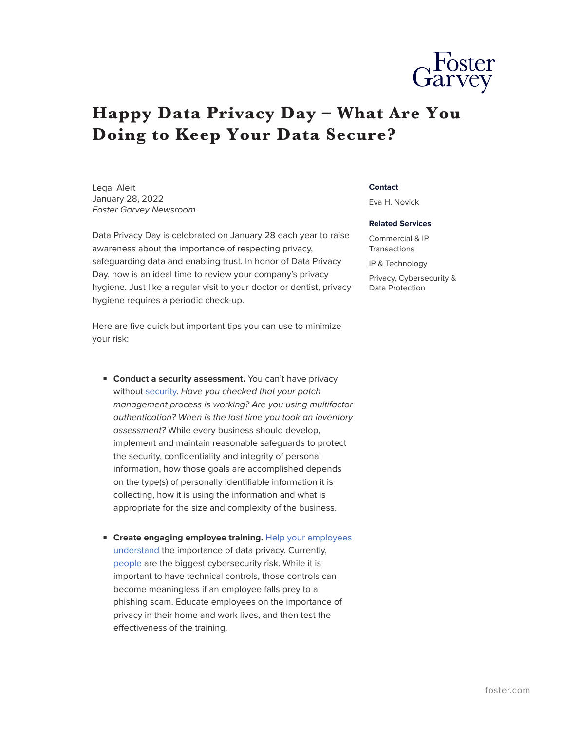## **Happy Data Privacy Day – What Are You Doing to Keep Your Data Secure?**

Legal Alert January 28, 2022 *Foster Garvey Newsroom*

Data Privacy Day is celebrated on January 28 each year to raise awareness about the importance of respecting privacy, safeguarding data and enabling trust. In honor of Data Privacy Day, now is an ideal time to review your company's privacy hygiene. Just like a regular visit to your doctor or dentist, privacy hygiene requires a periodic check-up.

Here are five quick but important tips you can use to minimize your risk:

- **Conduct a security assessment.** You can't have privacy without [security.](https://fp.foster.com/collect/click.aspx?u=RkN5OU5kMkd3M3FtT2o1UHRrQ1I4L2t4MnlmWkkyZXVUL2lhYkN3bGFGS3BTNVhIeWVMclZTOXhkdTBvVVhRWWNUN2YvNmFhbkw5TElQWnRka2h3RHJCTWY0bkpCV0JMMVoySzgxMVhFQ05STk5ITCt3dU1QV01uNjRSUXBkLzNmdW1BRHk1cnZ3bz0=&rh=ff0089f5dc7f1fbac6509e2dfb4f8a6d5b56b081) *Have you checked that your patch management process is working? Are you using multifactor authentication? When is the last time you took an inventory assessment?* While every business should develop, implement and maintain reasonable safeguards to protect the security, confidentiality and integrity of personal information, how those goals are accomplished depends on the type(s) of personally identifiable information it is collecting, how it is using the information and what is appropriate for the size and complexity of the business.
- **Create engaging employee training.** [Help your employees](https://fp.foster.com/collect/click.aspx?u=RkN5OU5kMkd3M3FtT2o1UHRrQ1I4L2t4MnlmWkkyZXVUL2lhYkN3bGFGSTNDeXA2WjBiZUJPV2VxRFNBcDhNT0ZWMjZWSTQ1MjBjUFdYMlVGVGhkSnd3UTUvYnloMzRhUnhMSXFsd2M1Q1NWRm0xZTJBUjU4eWZhSnh4QUN4YUo5QnUwNHhCOTN2YVR6Z3BDZ2J3TXJrWklITVpNWCt6U3dMUnhwVVZnMzJaUmdjWTRCcUs2RlE9PQ==&rh=ff0089f5dc7f1fbac6509e2dfb4f8a6d5b56b081) [understand](https://fp.foster.com/collect/click.aspx?u=RkN5OU5kMkd3M3FtT2o1UHRrQ1I4L2t4MnlmWkkyZXVUL2lhYkN3bGFGSTNDeXA2WjBiZUJPV2VxRFNBcDhNT0ZWMjZWSTQ1MjBjUFdYMlVGVGhkSnd3UTUvYnloMzRhUnhMSXFsd2M1Q1NWRm0xZTJBUjU4eWZhSnh4QUN4YUo5QnUwNHhCOTN2YVR6Z3BDZ2J3TXJrWklITVpNWCt6U3dMUnhwVVZnMzJaUmdjWTRCcUs2RlE9PQ==&rh=ff0089f5dc7f1fbac6509e2dfb4f8a6d5b56b081) the importance of data privacy. Currently, [people](https://fp.foster.com/collect/click.aspx?u=RkN5OU5kMkd3M3FtT2o1UHRrQ1I4L2t4MnlmWkkyZXVUL2lhYkN3bGFGSklJanZ5eWJEdHBCYnc2L3o0RFdQNlJDeG1kdnRKZmNwZGdqSnRCOXgveUxhRUZqdm52UFd3UVFvbXFvR2J2K0xhUUdTUzk1U3phRlZoMW9uQ2pTLytMVFZwREJ5RmIvUWJtWWM4SzlkMWw5SmYzUndMNjdjNnpFWmJEbyt3R2lXVTVqMFVmRTkvZEFBalJRSmpMYm9B&rh=ff0089f5dc7f1fbac6509e2dfb4f8a6d5b56b081) are the biggest cybersecurity risk. While it is important to have technical controls, those controls can become meaningless if an employee falls prey to a phishing scam. Educate employees on the importance of privacy in their home and work lives, and then test the effectiveness of the training.

## **Contact**

Eva H. Novick

## **Related Services**

Commercial & IP **Transactions** 

IP & Technology

Privacy, Cybersecurity & Data Protection